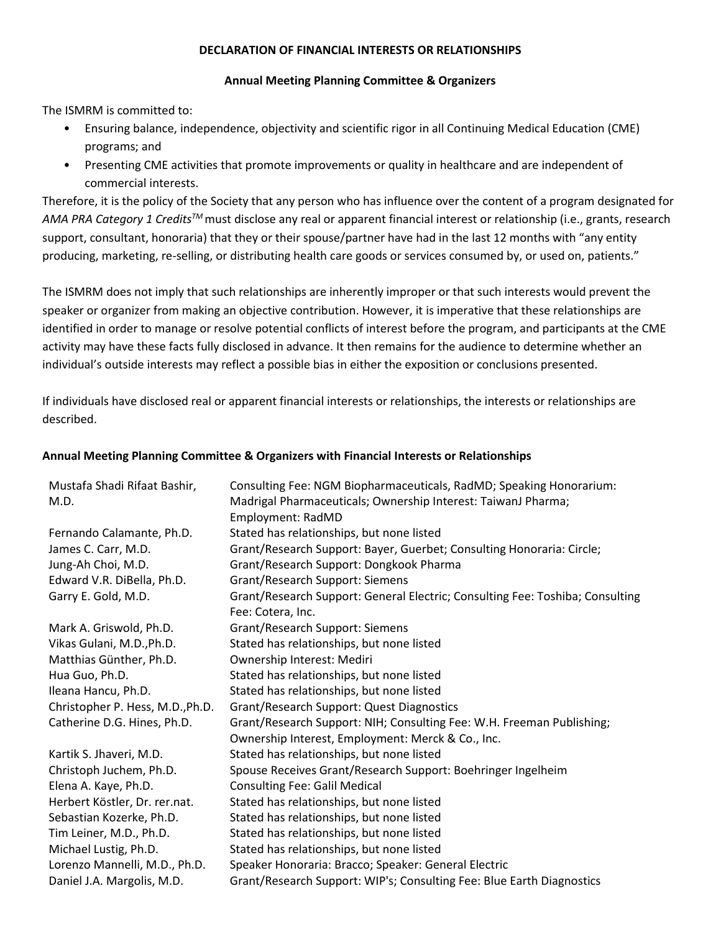## **DECLARATION OF FINANCIAL INTERESTS OR RELATIONSHIPS**

## **Annual Meeting Planning Committee & Organizers**

The ISMRM is committed to:

- Ensuring balance, independence, objectivity and scientific rigor in all Continuing Medical Education (CME) programs; and
- Presenting CME activities that promote improvements or quality in healthcare and are independent of commercial interests.

Therefore, it is the policy of the Society that any person who has influence over the content of a program designated for *AMA PRA Category 1 CreditsTM* must disclose any real or apparent financial interest or relationship (i.e., grants, research support, consultant, honoraria) that they or their spouse/partner have had in the last 12 months with "any entity producing, marketing, re-selling, or distributing health care goods or services consumed by, or used on, patients."

The ISMRM does not imply that such relationships are inherently improper or that such interests would prevent the speaker or organizer from making an objective contribution. However, it is imperative that these relationships are identified in order to manage or resolve potential conflicts of interest before the program, and participants at the CME activity may have these facts fully disclosed in advance. It then remains for the audience to determine whether an individual's outside interests may reflect a possible bias in either the exposition or conclusions presented.

If individuals have disclosed real or apparent financial interests or relationships, the interests or relationships are described.

## **Annual Meeting Planning Committee & Organizers with Financial Interests or Relationships**

| Mustafa Shadi Rifaat Bashir,     | Consulting Fee: NGM Biopharmaceuticals, RadMD; Speaking Honorarium:           |
|----------------------------------|-------------------------------------------------------------------------------|
| M.D.                             | Madrigal Pharmaceuticals; Ownership Interest: TaiwanJ Pharma;                 |
|                                  | Employment: RadMD                                                             |
| Fernando Calamante, Ph.D.        | Stated has relationships, but none listed                                     |
| James C. Carr, M.D.              | Grant/Research Support: Bayer, Guerbet; Consulting Honoraria: Circle;         |
| Jung-Ah Choi, M.D.               | Grant/Research Support: Dongkook Pharma                                       |
| Edward V.R. DiBella, Ph.D.       | <b>Grant/Research Support: Siemens</b>                                        |
| Garry E. Gold, M.D.              | Grant/Research Support: General Electric; Consulting Fee: Toshiba; Consulting |
|                                  | Fee: Cotera, Inc.                                                             |
| Mark A. Griswold, Ph.D.          | Grant/Research Support: Siemens                                               |
| Vikas Gulani, M.D., Ph.D.        | Stated has relationships, but none listed                                     |
| Matthias Günther, Ph.D.          | Ownership Interest: Mediri                                                    |
| Hua Guo, Ph.D.                   | Stated has relationships, but none listed                                     |
| Ileana Hancu, Ph.D.              | Stated has relationships, but none listed                                     |
| Christopher P. Hess, M.D., Ph.D. | Grant/Research Support: Quest Diagnostics                                     |
| Catherine D.G. Hines, Ph.D.      | Grant/Research Support: NIH; Consulting Fee: W.H. Freeman Publishing;         |
|                                  | Ownership Interest, Employment: Merck & Co., Inc.                             |
| Kartik S. Jhaveri, M.D.          | Stated has relationships, but none listed                                     |
| Christoph Juchem, Ph.D.          | Spouse Receives Grant/Research Support: Boehringer Ingelheim                  |
| Elena A. Kaye, Ph.D.             | <b>Consulting Fee: Galil Medical</b>                                          |
| Herbert Köstler, Dr. rer.nat.    | Stated has relationships, but none listed                                     |
| Sebastian Kozerke, Ph.D.         | Stated has relationships, but none listed                                     |
| Tim Leiner, M.D., Ph.D.          | Stated has relationships, but none listed                                     |
| Michael Lustig, Ph.D.            | Stated has relationships, but none listed                                     |
| Lorenzo Mannelli, M.D., Ph.D.    | Speaker Honoraria: Bracco; Speaker: General Electric                          |
| Daniel J.A. Margolis, M.D.       | Grant/Research Support: WIP's; Consulting Fee: Blue Earth Diagnostics         |
|                                  |                                                                               |